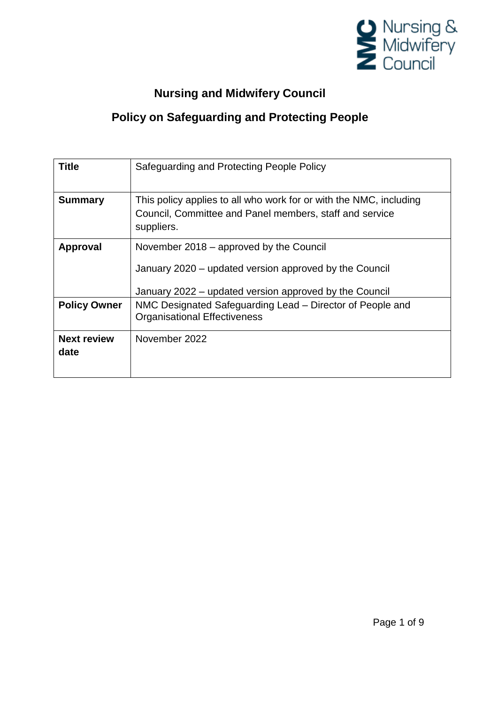

# **Nursing and Midwifery Council**

## **Policy on Safeguarding and Protecting People**

| <b>Title</b>               | Safeguarding and Protecting People Policy                                                                                                                   |
|----------------------------|-------------------------------------------------------------------------------------------------------------------------------------------------------------|
| <b>Summary</b>             | This policy applies to all who work for or with the NMC, including<br>Council, Committee and Panel members, staff and service<br>suppliers.                 |
| <b>Approval</b>            | November 2018 – approved by the Council<br>January 2020 – updated version approved by the Council<br>January 2022 - updated version approved by the Council |
| <b>Policy Owner</b>        | NMC Designated Safeguarding Lead – Director of People and<br><b>Organisational Effectiveness</b>                                                            |
| <b>Next review</b><br>date | November 2022                                                                                                                                               |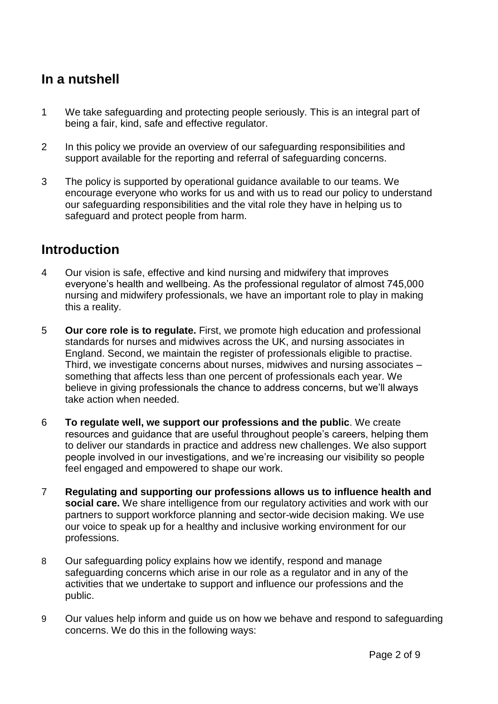## **In a nutshell**

- 1 We take safeguarding and protecting people seriously. This is an integral part of being a fair, kind, safe and effective regulator.
- 2 In this policy we provide an overview of our safeguarding responsibilities and support available for the reporting and referral of safeguarding concerns.
- 3 The policy is supported by operational guidance available to our teams. We encourage everyone who works for us and with us to read our policy to understand our safeguarding responsibilities and the vital role they have in helping us to safeguard and protect people from harm.

### **Introduction**

- 4 Our vision is safe, effective and kind nursing and midwifery that improves everyone's health and wellbeing. As the professional regulator of almost 745,000 nursing and midwifery professionals, we have an important role to play in making this a reality.
- 5 **Our core role is to regulate.** First, we promote high education and professional standards for nurses and midwives across the UK, and nursing associates in England. Second, we maintain the register of professionals eligible to practise. Third, we investigate concerns about nurses, midwives and nursing associates – something that affects less than one percent of professionals each year. We believe in giving professionals the chance to address concerns, but we'll always take action when needed.
- 6 **To regulate well, we support our professions and the public**. We create resources and guidance that are useful throughout people's careers, helping them to deliver our standards in practice and address new challenges. We also support people involved in our investigations, and we're increasing our visibility so people feel engaged and empowered to shape our work.
- 7 **Regulating and supporting our professions allows us to influence health and social care.** We share intelligence from our regulatory activities and work with our partners to support workforce planning and sector-wide decision making. We use our voice to speak up for a healthy and inclusive working environment for our professions.
- 8 Our safeguarding policy explains how we identify, respond and manage safeguarding concerns which arise in our role as a regulator and in any of the activities that we undertake to support and influence our professions and the public.
- 9 Our values help inform and guide us on how we behave and respond to safeguarding concerns. We do this in the following ways: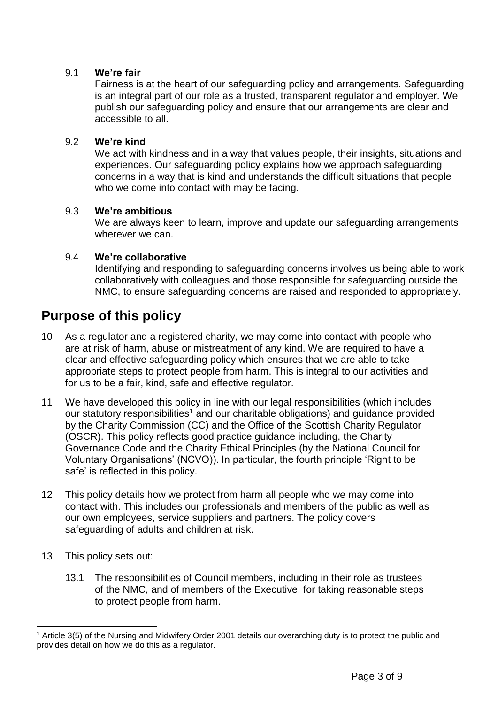#### 9.1 **We're fair**

Fairness is at the heart of our safeguarding policy and arrangements. Safeguarding is an integral part of our role as a trusted, transparent regulator and employer. We publish our safeguarding policy and ensure that our arrangements are clear and accessible to all.

#### 9.2 **We're kind**

We act with kindness and in a way that values people, their insights, situations and experiences. Our safeguarding policy explains how we approach safeguarding concerns in a way that is kind and understands the difficult situations that people who we come into contact with may be facing.

#### 9.3 **We're ambitious**

We are always keen to learn, improve and update our safeguarding arrangements wherever we can.

#### 9.4 **We're collaborative**

Identifying and responding to safeguarding concerns involves us being able to work collaboratively with colleagues and those responsible for safeguarding outside the NMC, to ensure safeguarding concerns are raised and responded to appropriately.

### **Purpose of this policy**

- 10 As a regulator and a registered charity, we may come into contact with people who are at risk of harm, abuse or mistreatment of any kind. We are required to have a clear and effective safeguarding policy which ensures that we are able to take appropriate steps to protect people from harm. This is integral to our activities and for us to be a fair, kind, safe and effective regulator.
- 11 We have developed this policy in line with our legal responsibilities (which includes our statutory responsibilities<sup>1</sup> and our charitable obligations) and guidance provided by the Charity Commission (CC) and the Office of the Scottish Charity Regulator (OSCR). This policy reflects good practice guidance including, the Charity Governance Code and the Charity Ethical Principles (by the National Council for Voluntary Organisations' (NCVO)). In particular, the fourth principle 'Right to be safe' is reflected in this policy.
- 12 This policy details how we protect from harm all people who we may come into contact with. This includes our professionals and members of the public as well as our own employees, service suppliers and partners. The policy covers safeguarding of adults and children at risk.
- 13 This policy sets out:
	- 13.1 The responsibilities of Council members, including in their role as trustees of the NMC, and of members of the Executive, for taking reasonable steps to protect people from harm.

 <sup>1</sup> Article 3(5) of the Nursing and Midwifery Order 2001 details our overarching duty is to protect the public and provides detail on how we do this as a regulator.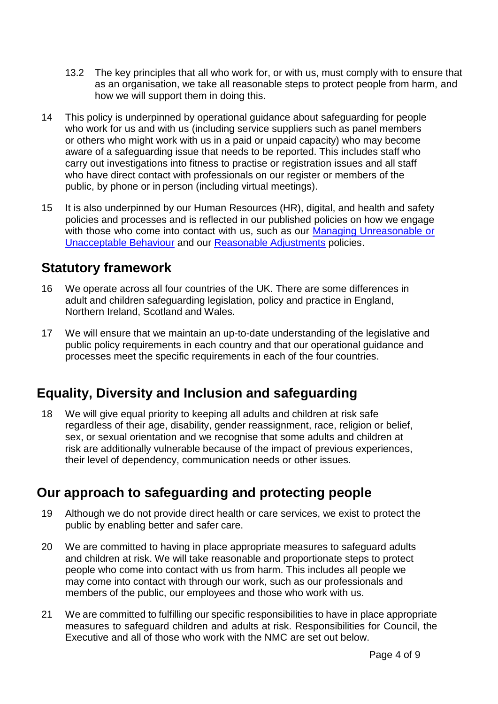- 13.2 The key principles that all who work for, or with us, must comply with to ensure that as an organisation, we take all reasonable steps to protect people from harm, and how we will support them in doing this.
- 14 This policy is underpinned by operational guidance about safeguarding for people who work for us and with us (including service suppliers such as panel members or others who might work with us in a paid or unpaid capacity) who may become aware of a safeguarding issue that needs to be reported. This includes staff who carry out investigations into fitness to practise or registration issues and all staff who have direct contact with professionals on our register or members of the public, by phone or in person (including virtual meetings).
- 15 It is also underpinned by our Human Resources (HR), digital, and health and safety policies and processes and is reflected in our published policies on how we engage with those who come into contact with us, such as our Managing Unreasonable or [Unacceptable Behaviour](https://www.nmc.org.uk/globalassets/sitedocuments/other-publications/unreasonable-or-unacceptable-behaviour-policy.pdf?_t_id=rYSMkpZPgM-vDKRimNjqiQ%3d%3d&_t_uuid=5zDAizK4TfqwvhPSEpzGRw&_t_q=managing+unreasonable+behaviour&_t_tags=language%3aen%2csiteid%3ad6891695-0234-463b-bf74-1bfb02644b38%2candquerymatch&_t_hit.id=NMC_Web_Models_Media_DocumentFile/_e9fe8605-0ba7-4119-89fc-94b2f9729239&_t_hit.pos=1) and our [Reasonable Adjustments](https://www.nmc.org.uk/globalassets/sitedocuments/eandd/reasonable-adjustments-policy.pdf?_t_id=rYSMkpZPgM-vDKRimNjqiQ%3d%3d&_t_uuid=uDHLrWHtQBSdG%2bd8Cv9VhQ&_t_q=reasonable+adjustments&_t_tags=language%3aen%2csiteid%3ad6891695-0234-463b-bf74-1bfb02644b38%2candquerymatch&_t_hit.id=NMC_Web_Models_Media_DocumentFile/_f4844979-0bfd-4d18-96c1-3ad9124cec5e&_t_hit.pos=1) policies.

### **Statutory framework**

- 16 We operate across all four countries of the UK. There are some differences in adult and children safeguarding legislation, policy and practice in England, Northern Ireland, Scotland and Wales.
- 17 We will ensure that we maintain an up-to-date understanding of the legislative and public policy requirements in each country and that our operational guidance and processes meet the specific requirements in each of the four countries.

# **Equality, Diversity and Inclusion and safeguarding**

18 We will give equal priority to keeping all adults and children at risk safe regardless of their age, disability, gender reassignment, race, religion or belief, sex, or sexual orientation and we recognise that some adults and children at risk are additionally vulnerable because of the impact of previous experiences, their level of dependency, communication needs or other issues.

## **Our approach to safeguarding and protecting people**

- 19 Although we do not provide direct health or care services, we exist to protect the public by enabling better and safer care.
- 20 We are committed to having in place appropriate measures to safeguard adults and children at risk. We will take reasonable and proportionate steps to protect people who come into contact with us from harm. This includes all people we may come into contact with through our work, such as our professionals and members of the public, our employees and those who work with us.
- 21 We are committed to fulfilling our specific responsibilities to have in place appropriate measures to safeguard children and adults at risk. Responsibilities for Council, the Executive and all of those who work with the NMC are set out below.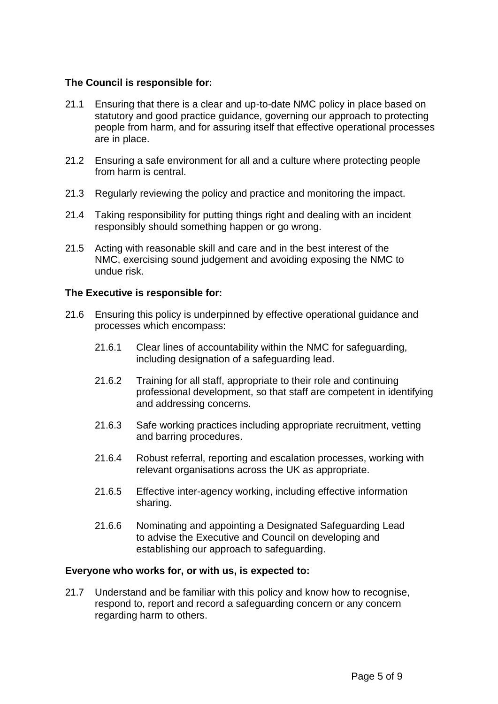#### **The Council is responsible for:**

- 21.1 Ensuring that there is a clear and up-to-date NMC policy in place based on statutory and good practice guidance, governing our approach to protecting people from harm, and for assuring itself that effective operational processes are in place.
- 21.2 Ensuring a safe environment for all and a culture where protecting people from harm is central.
- 21.3 Regularly reviewing the policy and practice and monitoring the impact.
- 21.4 Taking responsibility for putting things right and dealing with an incident responsibly should something happen or go wrong.
- 21.5 Acting with reasonable skill and care and in the best interest of the NMC, exercising sound judgement and avoiding exposing the NMC to undue risk.

#### **The Executive is responsible for:**

- 21.6 Ensuring this policy is underpinned by effective operational guidance and processes which encompass:
	- 21.6.1 Clear lines of accountability within the NMC for safeguarding, including designation of a safeguarding lead.
	- 21.6.2 Training for all staff, appropriate to their role and continuing professional development, so that staff are competent in identifying and addressing concerns.
	- 21.6.3 Safe working practices including appropriate recruitment, vetting and barring procedures.
	- 21.6.4 Robust referral, reporting and escalation processes, working with relevant organisations across the UK as appropriate.
	- 21.6.5 Effective inter-agency working, including effective information sharing.
	- 21.6.6 Nominating and appointing a Designated Safeguarding Lead to advise the Executive and Council on developing and establishing our approach to safeguarding.

#### **Everyone who works for, or with us, is expected to:**

21.7 Understand and be familiar with this policy and know how to recognise, respond to, report and record a safeguarding concern or any concern regarding harm to others.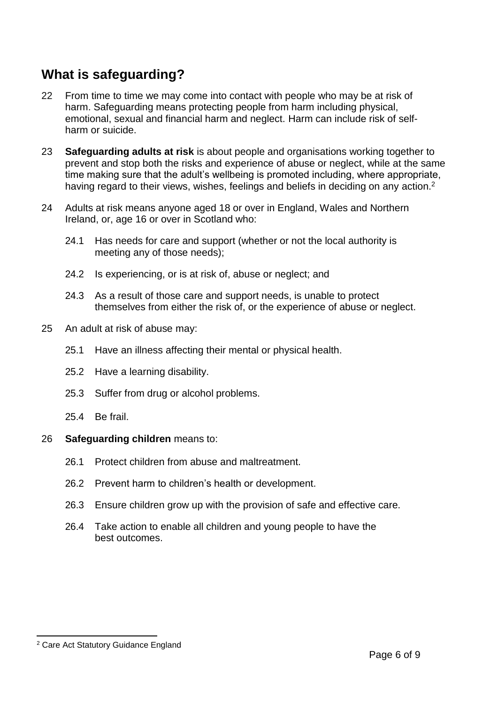# **What is safeguarding?**

- 22 From time to time we may come into contact with people who may be at risk of harm. Safeguarding means protecting people from harm including physical, emotional, sexual and financial harm and neglect. Harm can include risk of selfharm or suicide.
- 23 **Safeguarding adults at risk** is about people and organisations working together to prevent and stop both the risks and experience of abuse or neglect, while at the same time making sure that the adult's wellbeing is promoted including, where appropriate, having regard to their views, wishes, feelings and beliefs in deciding on any action.<sup>2</sup>
- 24 Adults at risk means anyone aged 18 or over in England, Wales and Northern Ireland, or, age 16 or over in Scotland who:
	- 24.1 Has needs for care and support (whether or not the local authority is meeting any of those needs);
	- 24.2 Is experiencing, or is at risk of, abuse or neglect; and
	- 24.3 As a result of those care and support needs, is unable to protect themselves from either the risk of, or the experience of abuse or neglect.
- 25 An adult at risk of abuse may:
	- 25.1 Have an illness affecting their mental or physical health.
	- 25.2 Have a learning disability.
	- 25.3 Suffer from drug or alcohol problems.
	- 25.4 Be frail.

#### 26 **Safeguarding children** means to:

- 26.1 Protect children from abuse and maltreatment.
- 26.2 Prevent harm to children's health or development.
- 26.3 Ensure children grow up with the provision of safe and effective care.
- 26.4 Take action to enable all children and young people to have the best outcomes.

 $\overline{a}$ <sup>2</sup> Care Act Statutory Guidance England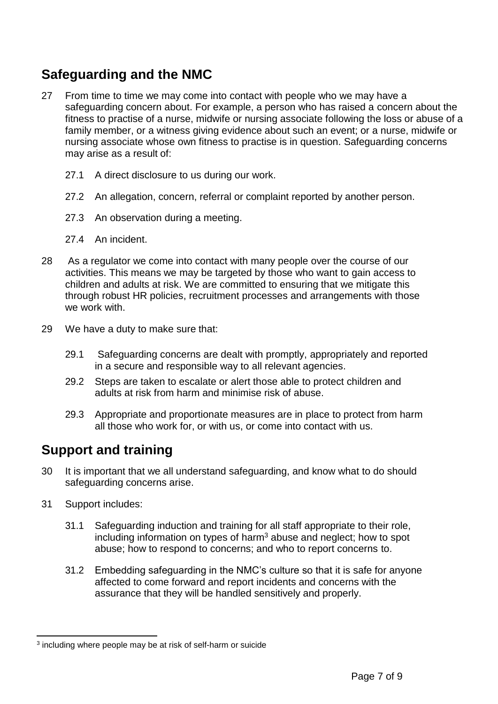# **Safeguarding and the NMC**

- 27 From time to time we may come into contact with people who we may have a safeguarding concern about. For example, a person who has raised a concern about the fitness to practise of a nurse, midwife or nursing associate following the loss or abuse of a family member, or a witness giving evidence about such an event; or a nurse, midwife or nursing associate whose own fitness to practise is in question. Safeguarding concerns may arise as a result of:
	- 27.1 A direct disclosure to us during our work.
	- 27.2 An allegation, concern, referral or complaint reported by another person.
	- 27.3 An observation during a meeting.
	- 27.4 An incident.
- 28 As a regulator we come into contact with many people over the course of our activities. This means we may be targeted by those who want to gain access to children and adults at risk. We are committed to ensuring that we mitigate this through robust HR policies, recruitment processes and arrangements with those we work with.
- 29 We have a duty to make sure that:
	- 29.1 Safeguarding concerns are dealt with promptly, appropriately and reported in a secure and responsible way to all relevant agencies.
	- 29.2 Steps are taken to escalate or alert those able to protect children and adults at risk from harm and minimise risk of abuse.
	- 29.3 Appropriate and proportionate measures are in place to protect from harm all those who work for, or with us, or come into contact with us.

## **Support and training**

- 30 It is important that we all understand safeguarding, and know what to do should safeguarding concerns arise.
- 31 Support includes:
	- 31.1 Safeguarding induction and training for all staff appropriate to their role, including information on types of harm<sup>3</sup> abuse and neglect; how to spot abuse; how to respond to concerns; and who to report concerns to.
	- 31.2 Embedding safeguarding in the NMC's culture so that it is safe for anyone affected to come forward and report incidents and concerns with the assurance that they will be handled sensitively and properly.

 $\overline{a}$ <sup>3</sup> including where people may be at risk of self-harm or suicide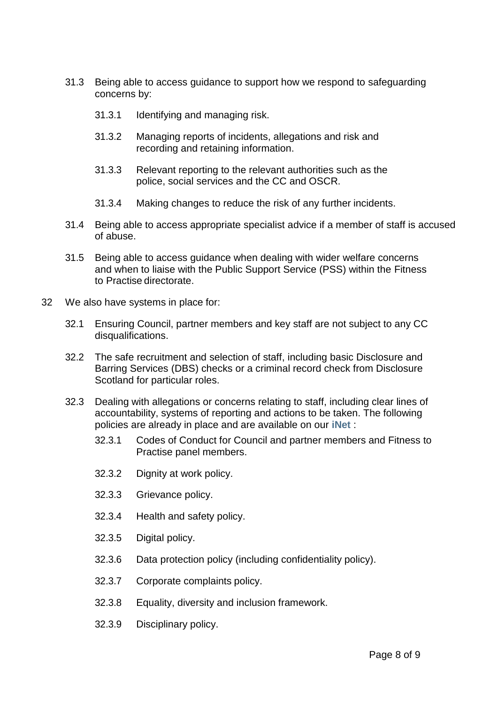- 31.3 Being able to access guidance to support how we respond to safeguarding concerns by:
	- 31.3.1 Identifying and managing risk.
	- 31.3.2 Managing reports of incidents, allegations and risk and recording and retaining information.
	- 31.3.3 Relevant reporting to the relevant authorities such as the police, social services and the CC and OSCR.
	- 31.3.4 Making changes to reduce the risk of any further incidents.
- 31.4 Being able to access appropriate specialist advice if a member of staff is accused of abuse.
- 31.5 Being able to access guidance when dealing with wider welfare concerns and when to liaise with the Public Support Service (PSS) within the Fitness to Practise directorate.
- 32 We also have systems in place for:
	- 32.1 Ensuring Council, partner members and key staff are not subject to any CC disqualifications.
	- 32.2 The safe recruitment and selection of staff, including basic Disclosure and Barring Services (DBS) checks or a criminal record check from Disclosure Scotland for particular roles.
	- 32.3 Dealing with allegations or concerns relating to staff, including clear lines of accountability, systems of reporting and actions to be taken. The following policies are already in place and are available on our **[iNet](http://mynmc.nmc-uk.org/org/how-to/Pages/Internal-whistleblowing.aspx)** :
		- 32.3.1 Codes of Conduct for Council and partner members and Fitness to Practise panel members.
		- 32.3.2 Dignity at work policy.
		- 32.3.3 Grievance policy.
		- 32.3.4 Health and safety policy.
		- 32.3.5 Digital policy.
		- 32.3.6 Data protection policy (including confidentiality policy).
		- 32.3.7 Corporate complaints policy.
		- 32.3.8 Equality, diversity and inclusion framework.
		- 32.3.9 Disciplinary policy.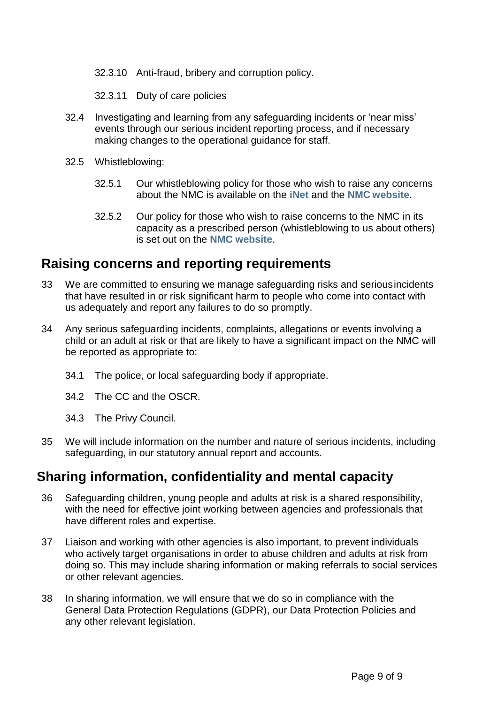32.3.10 Anti-fraud, bribery and corruption policy.

32.3.11 Duty of care policies

- 32.4 Investigating and learning from any safeguarding incidents or 'near miss' events through our serious incident reporting process, and if necessary making changes to the operational guidance for staff.
- 32.5 Whistleblowing:
	- 32.5.1 Our whistleblowing policy for those who wish to raise any concerns about the NMC is available on the **[iNet](http://mynmc.nmc-uk.org/org/how-to/Pages/Internal-whistleblowing.aspx)** and the **NMC [website](https://www.nmc.org.uk/contact-us/complaints-about-us/whistleblowing-about-us/)**.
	- 32.5.2 Our policy for those who wish to raise concerns to the NMC in its capacity as a prescribed person (whistleblowing to us about others) is set out on the **NMC [website](https://www.nmc.org.uk/standards/guidance/raising-concerns-guidance-for-nurses-and-midwives/whistleblowing/)**.

### **Raising concerns and reporting requirements**

- 33 We are committed to ensuring we manage safeguarding risks and seriousincidents that have resulted in or risk significant harm to people who come into contact with us adequately and report any failures to do so promptly.
- 34 Any serious safeguarding incidents, complaints, allegations or events involving a child or an adult at risk or that are likely to have a significant impact on the NMC will be reported as appropriate to:
	- 34.1 The police, or local safeguarding body if appropriate.
	- 34.2 The CC and the OSCR.
	- 34.3 The Privy Council.
- 35 We will include information on the number and nature of serious incidents, including safeguarding, in our statutory annual report and accounts.

### **Sharing information, confidentiality and mental capacity**

- 36 Safeguarding children, young people and adults at risk is a shared responsibility, with the need for effective joint working between agencies and professionals that have different roles and expertise.
- 37 Liaison and working with other agencies is also important, to prevent individuals who actively target organisations in order to abuse children and adults at risk from doing so. This may include sharing information or making referrals to social services or other relevant agencies.
- 38 In sharing information, we will ensure that we do so in compliance with the General Data Protection Regulations (GDPR), our Data Protection Policies and any other relevant legislation.